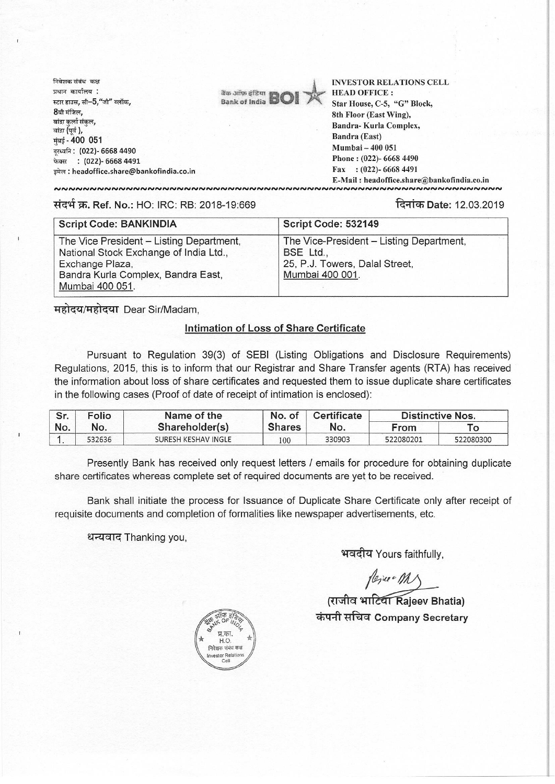निवेशक संबंध कक्ष प्रधान कार्यालय : स्टार हाउस, सी $-5$ , "जी" ब्लॉक, 8ेवी मंजिल,<br>बांद्रा कर्ला संकल, बांद्रा (पूर्व), मंबई - 400 051 दूरध्वनि : (022)- 6668 4490 : (022)- 6668 4491 इमेल : headoffice.share@bankofindia.co.in



INVESTOR RELATIONS CELL HEAD OFFICE : Star House, C-5, "G" Block, 8th Floor (East Wing), Bandra- Kurla Complex, Bandra (East) Mumbai — 400 051 Phone : (022)- 6668 4490 Fax : (022)- 6668 4491

: headoffice.share@bankofindia.co.in ,<br>,,,,,,,,,,,,,,,,,,,,,,,,,,,,,,,,,,

## **Ref. No.: HO: IRC: RB: 2018-19:669 Date: 12.03.2019**

| <b>Script Code: BANKINDIA</b>                                                                                                                                  | Script Code: 532149                                                                                        |  |  |
|----------------------------------------------------------------------------------------------------------------------------------------------------------------|------------------------------------------------------------------------------------------------------------|--|--|
| The Vice President - Listing Department,<br>National Stock Exchange of India Ltd.,<br>Exchange Plaza,<br>Bandra Kurla Complex, Bandra East,<br>Mumbai 400 051. | The Vice-President - Listing Department,<br>BSE Ltd.,<br>25, P.J. Towers, Dalal Street,<br>Mumbai 400 001. |  |  |

महोदय/महोदया Dear Sir/Madam,

## **Intimation of Loss of Share Certificate**

Pursuant to Regulation 39(3) of SEBI (Listing Obligations and Disclosure Requirements) Regulations, 2015, this is to inform that our Registrar and Share Transfer agents (RTA) has received the information about loss of share certificates and requested them to issue duplicate share certificates in the following cases (Proof of date of receipt of intimation is enclosed):

| Sr.<br>No. | Folio<br>No. | Name of the<br>Shareholder(s) | No. of<br><b>Shares</b> | Certificate<br>No. | <b>Distinctive Nos.</b> |           |
|------------|--------------|-------------------------------|-------------------------|--------------------|-------------------------|-----------|
|            |              |                               |                         |                    | From                    |           |
|            | 532636       | SURESH KESHAV INGLE           | 100                     | 330903             | 522080201               | 522080300 |

Presently Bank has received only request letters / emails for procedure for obtaining duplicate share certificates whereas complete set of required documents are yet to be received.

Bank shall initiate the process for Issuance of Duplicate Share Certificate only after receipt of requisite documents and completion of formalities like newspaper advertisements, etc.

धन्यवाद Thanking you,

भवदीय Yours faithfully,

## *(राजीव भाटिया Rajeev Bhatia)* **tirangled The Company Secretary**